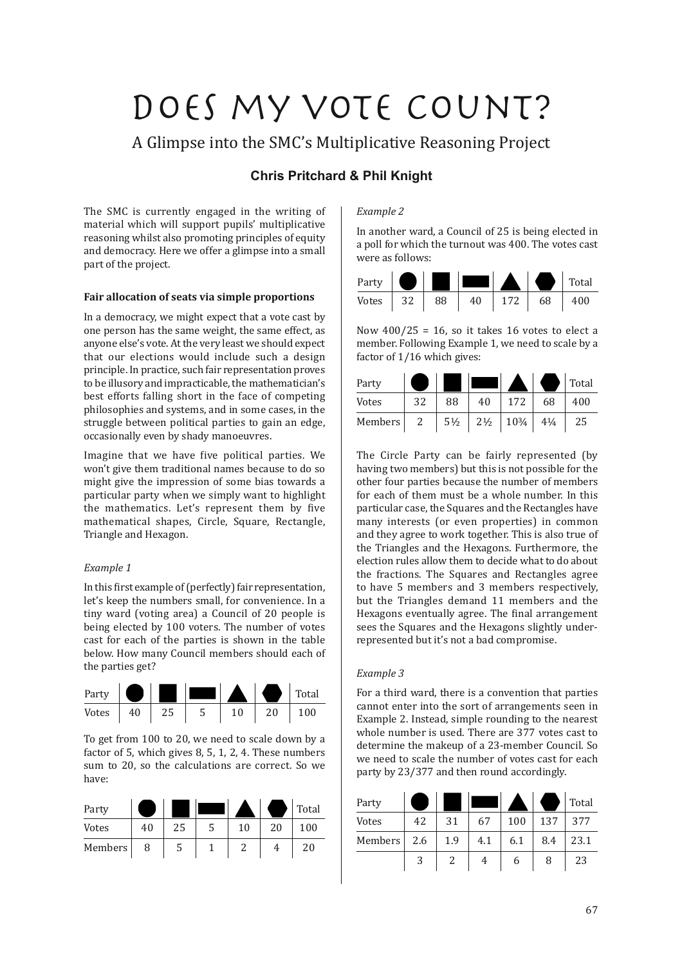# Does my vote count?

A Glimpse into the SMC's Multiplicative Reasoning Project

# **Chris Pritchard & Phil Knight**

The SMC is currently engaged in the writing of material which will support pupils' multiplicative reasoning whilst also promoting principles of equity and democracy. Here we offer a glimpse into a small part of the project.

# **Fair allocation of seats via simple proportions**

In a democracy, we might expect that a vote cast by one person has the same weight, the same effect, as anyone else's vote. At the very least we should expect that our elections would include such a design principle. In practice, such fair representation proves to be illusory and impracticable, the mathematician's best efforts falling short in the face of competing philosophies and systems, and in some cases, in the struggle between political parties to gain an edge, occasionally even by shady manoeuvres.

Imagine that we have five political parties. We won't give them traditional names because to do so might give the impression of some bias towards a particular party when we simply want to highlight the mathematics. Let's represent them by five mathematical shapes, Circle, Square, Rectangle, Triangle and Hexagon.

# *Example 1*

In this first example of (perfectly) fair representation. let's keep the numbers small, for convenience. In a tiny ward (voting area) a Council of 20 people is being elected by 100 voters. The number of votes cast for each of the parties is shown in the table below. How many Council members should each of the parties get?



To get from 100 to 20, we need to scale down by a factor of 5, which gives 8, 5, 1, 2, 4. These numbers sum to 20, so the calculations are correct. So we have:

| Party   |    |    |    |    | Total |
|---------|----|----|----|----|-------|
| Votes   | 40 | 25 | 10 | 20 | 100   |
| Members | 8  | 5  |    |    | 20    |

### *Example 2*

In another ward, a Council of 25 is being elected in a poll for which the turnout was 400. The votes cast were as follows:



Now  $400/25 = 16$ , so it takes 16 votes to elect a member. Following Example 1, we need to scale by a factor of 1/16 which gives:

| Party   |    |                |                |                 |                | Total |
|---------|----|----------------|----------------|-----------------|----------------|-------|
| Votes   | 32 | 88             | 40             | 172             | 68             | 400   |
| Members |    | $5\frac{1}{2}$ | $2\frac{1}{2}$ | $10\frac{3}{4}$ | $4\frac{1}{4}$ | 25    |

The Circle Party can be fairly represented (by having two members) but this is not possible for the other four parties because the number of members for each of them must be a whole number. In this particular case, the Squares and the Rectangles have many interests (or even properties) in common and they agree to work together. This is also true of the Triangles and the Hexagons. Furthermore, the election rules allow them to decide what to do about the fractions. The Squares and Rectangles agree to have 5 members and 3 members respectively, but the Triangles demand 11 members and the Hexagons eventually agree. The final arrangement sees the Squares and the Hexagons slightly underrepresented but it's not a bad compromise.

#### *Example 3*

For a third ward, there is a convention that parties cannot enter into the sort of arrangements seen in Example 2. Instead, simple rounding to the nearest whole number is used. There are 377 votes cast to determine the makeup of a 23-member Council. So we need to scale the number of votes cast for each party by 23/377 and then round accordingly.

| Party   |     |     |     |     |     | Total |
|---------|-----|-----|-----|-----|-----|-------|
| Votes   | 42  | 31  | 67  | 100 | 137 | 377   |
| Members | 2.6 | 1.9 | 4.1 | 6.1 | 8.4 | 23.1  |
|         | 3   |     | 4   | 6   | 8   | 23    |